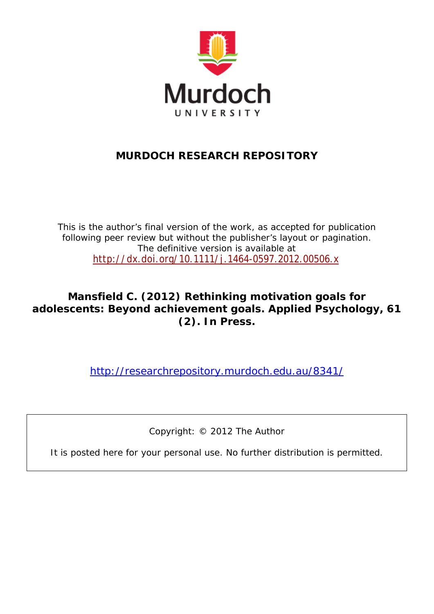

# **MURDOCH RESEARCH REPOSITORY**

*This is the author's final version of the work, as accepted for publication following peer review but without the publisher's layout or pagination. The definitive version is available at* <http://dx.doi.org/10.1111/j.1464-0597.2012.00506.x>

# **Mansfield C. (2012)** *Rethinking motivation goals for adolescents: Beyond achievement goals.* **Applied Psychology, 61 (2). In Press.**

<http://researchrepository.murdoch.edu.au/8341/>

Copyright: © 2012 The Author

It is posted here for your personal use. No further distribution is permitted.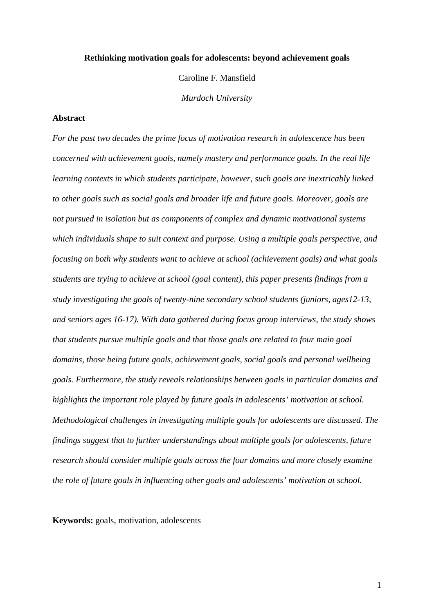#### **Rethinking motivation goals for adolescents: beyond achievement goals**

Caroline F. Mansfield

*Murdoch University*

### **Abstract**

*For the past two decades the prime focus of motivation research in adolescence has been concerned with achievement goals, namely mastery and performance goals. In the real life learning contexts in which students participate, however, such goals are inextricably linked to other goals such as social goals and broader life and future goals. Moreover, goals are not pursued in isolation but as components of complex and dynamic motivational systems which individuals shape to suit context and purpose. Using a multiple goals perspective, and focusing on both why students want to achieve at school (achievement goals) and what goals students are trying to achieve at school (goal content), this paper presents findings from a study investigating the goals of twenty-nine secondary school students (juniors, ages12-13, and seniors ages 16-17). With data gathered during focus group interviews, the study shows that students pursue multiple goals and that those goals are related to four main goal domains, those being future goals, achievement goals, social goals and personal wellbeing goals. Furthermore, the study reveals relationships between goals in particular domains and highlights the important role played by future goals in adolescents' motivation at school. Methodological challenges in investigating multiple goals for adolescents are discussed. The findings suggest that to further understandings about multiple goals for adolescents, future research should consider multiple goals across the four domains and more closely examine the role of future goals in influencing other goals and adolescents' motivation at school.* 

**Keywords:** goals, motivation, adolescents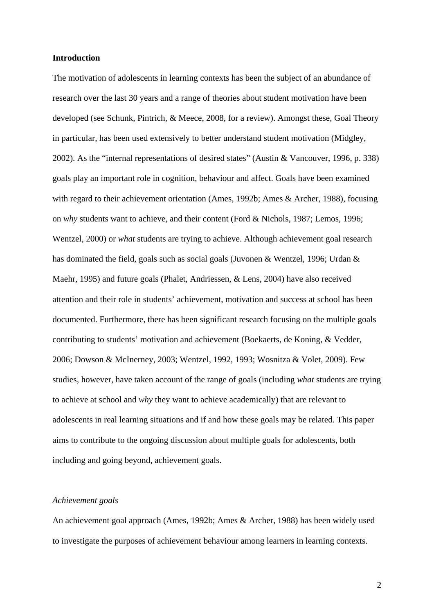## **Introduction**

The motivation of adolescents in learning contexts has been the subject of an abundance of research over the last 30 years and a range of theories about student motivation have been developed (see Schunk, Pintrich, & Meece, 2008, for a review). Amongst these, Goal Theory in particular, has been used extensively to better understand student motivation (Midgley, 2002). As the "internal representations of desired states" (Austin & Vancouver, 1996, p. 338) goals play an important role in cognition, behaviour and affect. Goals have been examined with regard to their achievement orientation (Ames, 1992b; Ames & Archer, 1988), focusing on *why* students want to achieve, and their content (Ford & Nichols, 1987; Lemos, 1996; Wentzel, 2000) or *what* students are trying to achieve. Although achievement goal research has dominated the field, goals such as social goals (Juvonen & Wentzel, 1996; Urdan & Maehr, 1995) and future goals (Phalet, Andriessen, & Lens, 2004) have also received attention and their role in students' achievement, motivation and success at school has been documented. Furthermore, there has been significant research focusing on the multiple goals contributing to students' motivation and achievement (Boekaerts, de Koning, & Vedder, 2006; Dowson & McInerney, 2003; Wentzel, 1992, 1993; Wosnitza & Volet, 2009). Few studies, however, have taken account of the range of goals (including *what* students are trying to achieve at school and *why* they want to achieve academically) that are relevant to adolescents in real learning situations and if and how these goals may be related. This paper aims to contribute to the ongoing discussion about multiple goals for adolescents, both including and going beyond, achievement goals.

# *Achievement goals*

An achievement goal approach (Ames, 1992b; Ames & Archer, 1988) has been widely used to investigate the purposes of achievement behaviour among learners in learning contexts.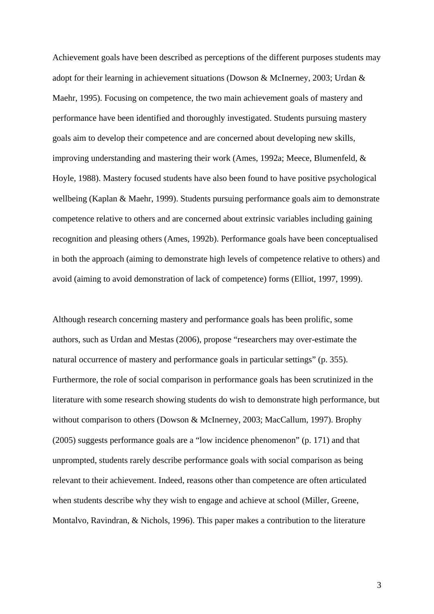Achievement goals have been described as perceptions of the different purposes students may adopt for their learning in achievement situations (Dowson & McInerney, 2003; Urdan & Maehr, 1995). Focusing on competence, the two main achievement goals of mastery and performance have been identified and thoroughly investigated. Students pursuing mastery goals aim to develop their competence and are concerned about developing new skills, improving understanding and mastering their work (Ames, 1992a; Meece, Blumenfeld, & Hoyle, 1988). Mastery focused students have also been found to have positive psychological wellbeing (Kaplan & Maehr, 1999). Students pursuing performance goals aim to demonstrate competence relative to others and are concerned about extrinsic variables including gaining recognition and pleasing others (Ames, 1992b). Performance goals have been conceptualised in both the approach (aiming to demonstrate high levels of competence relative to others) and avoid (aiming to avoid demonstration of lack of competence) forms (Elliot, 1997, 1999).

Although research concerning mastery and performance goals has been prolific, some authors, such as Urdan and Mestas (2006), propose "researchers may over-estimate the natural occurrence of mastery and performance goals in particular settings" (p. 355). Furthermore, the role of social comparison in performance goals has been scrutinized in the literature with some research showing students do wish to demonstrate high performance, but without comparison to others (Dowson & McInerney, 2003; MacCallum, 1997). Brophy (2005) suggests performance goals are a "low incidence phenomenon" (p. 171) and that unprompted, students rarely describe performance goals with social comparison as being relevant to their achievement. Indeed, reasons other than competence are often articulated when students describe why they wish to engage and achieve at school (Miller, Greene, Montalvo, Ravindran, & Nichols, 1996). This paper makes a contribution to the literature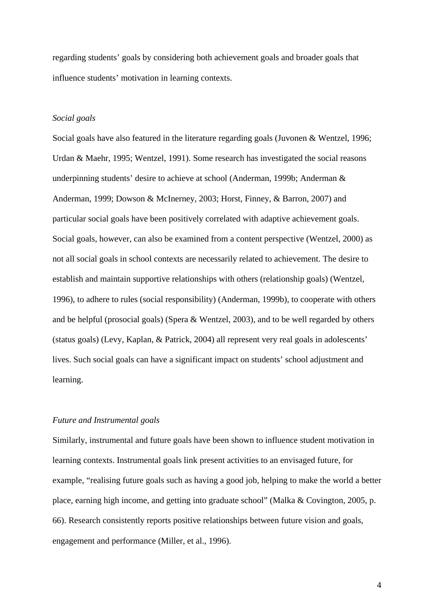regarding students' goals by considering both achievement goals and broader goals that influence students' motivation in learning contexts.

# *Social goals*

Social goals have also featured in the literature regarding goals (Juvonen & Wentzel, 1996; Urdan & Maehr, 1995; Wentzel, 1991). Some research has investigated the social reasons underpinning students' desire to achieve at school (Anderman, 1999b; Anderman & Anderman, 1999; Dowson & McInerney, 2003; Horst, Finney, & Barron, 2007) and particular social goals have been positively correlated with adaptive achievement goals. Social goals, however, can also be examined from a content perspective (Wentzel, 2000) as not all social goals in school contexts are necessarily related to achievement. The desire to establish and maintain supportive relationships with others (relationship goals) (Wentzel, 1996), to adhere to rules (social responsibility) (Anderman, 1999b), to cooperate with others and be helpful (prosocial goals) (Spera & Wentzel, 2003), and to be well regarded by others (status goals) (Levy, Kaplan, & Patrick, 2004) all represent very real goals in adolescents' lives. Such social goals can have a significant impact on students' school adjustment and learning.

# *Future and Instrumental goals*

Similarly, instrumental and future goals have been shown to influence student motivation in learning contexts. Instrumental goals link present activities to an envisaged future, for example, "realising future goals such as having a good job, helping to make the world a better place, earning high income, and getting into graduate school" (Malka & Covington, 2005, p. 66). Research consistently reports positive relationships between future vision and goals, engagement and performance (Miller, et al., 1996).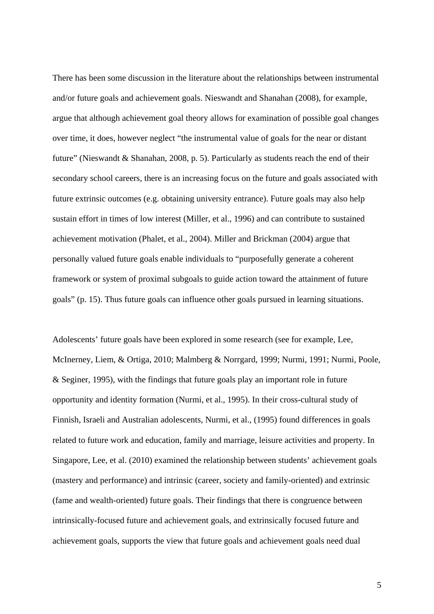There has been some discussion in the literature about the relationships between instrumental and/or future goals and achievement goals. Nieswandt and Shanahan (2008), for example, argue that although achievement goal theory allows for examination of possible goal changes over time, it does, however neglect "the instrumental value of goals for the near or distant future" (Nieswandt & Shanahan, 2008, p. 5). Particularly as students reach the end of their secondary school careers, there is an increasing focus on the future and goals associated with future extrinsic outcomes (e.g. obtaining university entrance). Future goals may also help sustain effort in times of low interest (Miller, et al., 1996) and can contribute to sustained achievement motivation (Phalet, et al., 2004). Miller and Brickman (2004) argue that personally valued future goals enable individuals to "purposefully generate a coherent framework or system of proximal subgoals to guide action toward the attainment of future goals" (p. 15). Thus future goals can influence other goals pursued in learning situations.

Adolescents' future goals have been explored in some research (see for example, Lee, McInerney, Liem, & Ortiga, 2010; Malmberg & Norrgard, 1999; Nurmi, 1991; Nurmi, Poole, & Seginer, 1995), with the findings that future goals play an important role in future opportunity and identity formation (Nurmi, et al., 1995). In their cross-cultural study of Finnish, Israeli and Australian adolescents, Nurmi, et al., (1995) found differences in goals related to future work and education, family and marriage, leisure activities and property. In Singapore, Lee, et al. (2010) examined the relationship between students' achievement goals (mastery and performance) and intrinsic (career, society and family-oriented) and extrinsic (fame and wealth-oriented) future goals. Their findings that there is congruence between intrinsically-focused future and achievement goals, and extrinsically focused future and achievement goals, supports the view that future goals and achievement goals need dual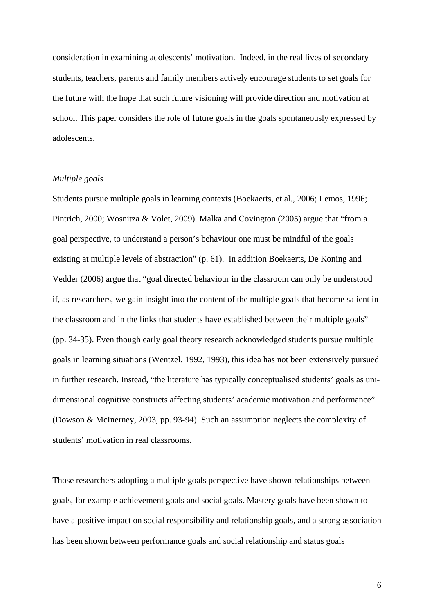consideration in examining adolescents' motivation. Indeed, in the real lives of secondary students, teachers, parents and family members actively encourage students to set goals for the future with the hope that such future visioning will provide direction and motivation at school. This paper considers the role of future goals in the goals spontaneously expressed by adolescents.

## *Multiple goals*

Students pursue multiple goals in learning contexts (Boekaerts, et al., 2006; Lemos, 1996; Pintrich, 2000; Wosnitza & Volet, 2009). Malka and Covington (2005) argue that "from a goal perspective, to understand a person's behaviour one must be mindful of the goals existing at multiple levels of abstraction" (p. 61). In addition Boekaerts, De Koning and Vedder (2006) argue that "goal directed behaviour in the classroom can only be understood if, as researchers, we gain insight into the content of the multiple goals that become salient in the classroom and in the links that students have established between their multiple goals" (pp. 34-35). Even though early goal theory research acknowledged students pursue multiple goals in learning situations (Wentzel, 1992, 1993), this idea has not been extensively pursued in further research. Instead, "the literature has typically conceptualised students' goals as unidimensional cognitive constructs affecting students' academic motivation and performance" (Dowson & McInerney, 2003, pp. 93-94). Such an assumption neglects the complexity of students' motivation in real classrooms.

Those researchers adopting a multiple goals perspective have shown relationships between goals, for example achievement goals and social goals. Mastery goals have been shown to have a positive impact on social responsibility and relationship goals, and a strong association has been shown between performance goals and social relationship and status goals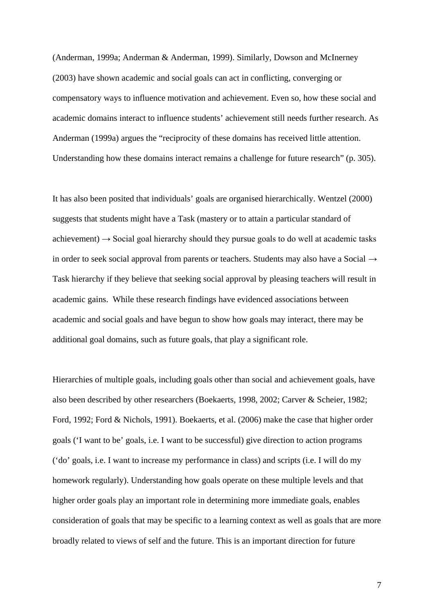(Anderman, 1999a; Anderman & Anderman, 1999). Similarly, Dowson and McInerney (2003) have shown academic and social goals can act in conflicting, converging or compensatory ways to influence motivation and achievement. Even so, how these social and academic domains interact to influence students' achievement still needs further research. As Anderman (1999a) argues the "reciprocity of these domains has received little attention. Understanding how these domains interact remains a challenge for future research" (p. 305).

It has also been posited that individuals' goals are organised hierarchically. Wentzel (2000) suggests that students might have a Task (mastery or to attain a particular standard of achievement)  $\rightarrow$  Social goal hierarchy should they pursue goals to do well at academic tasks in order to seek social approval from parents or teachers. Students may also have a Social → Task hierarchy if they believe that seeking social approval by pleasing teachers will result in academic gains. While these research findings have evidenced associations between academic and social goals and have begun to show how goals may interact, there may be additional goal domains, such as future goals, that play a significant role.

Hierarchies of multiple goals, including goals other than social and achievement goals, have also been described by other researchers (Boekaerts, 1998, 2002; Carver & Scheier, 1982; Ford, 1992; Ford & Nichols, 1991). Boekaerts, et al. (2006) make the case that higher order goals ('I want to be' goals, i.e. I want to be successful) give direction to action programs ('do' goals, i.e. I want to increase my performance in class) and scripts (i.e. I will do my homework regularly). Understanding how goals operate on these multiple levels and that higher order goals play an important role in determining more immediate goals, enables consideration of goals that may be specific to a learning context as well as goals that are more broadly related to views of self and the future. This is an important direction for future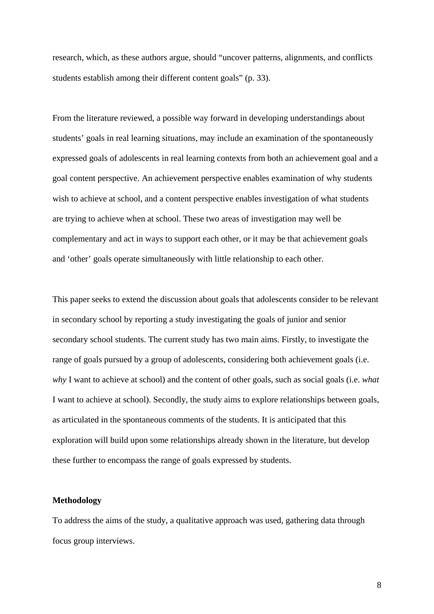research, which, as these authors argue, should "uncover patterns, alignments, and conflicts students establish among their different content goals" (p. 33).

From the literature reviewed, a possible way forward in developing understandings about students' goals in real learning situations, may include an examination of the spontaneously expressed goals of adolescents in real learning contexts from both an achievement goal and a goal content perspective. An achievement perspective enables examination of why students wish to achieve at school, and a content perspective enables investigation of what students are trying to achieve when at school. These two areas of investigation may well be complementary and act in ways to support each other, or it may be that achievement goals and 'other' goals operate simultaneously with little relationship to each other.

This paper seeks to extend the discussion about goals that adolescents consider to be relevant in secondary school by reporting a study investigating the goals of junior and senior secondary school students. The current study has two main aims. Firstly, to investigate the range of goals pursued by a group of adolescents, considering both achievement goals (i.e. *why* I want to achieve at school) and the content of other goals, such as social goals (i.e. *what* I want to achieve at school). Secondly, the study aims to explore relationships between goals, as articulated in the spontaneous comments of the students. It is anticipated that this exploration will build upon some relationships already shown in the literature, but develop these further to encompass the range of goals expressed by students.

# **Methodology**

To address the aims of the study, a qualitative approach was used, gathering data through focus group interviews.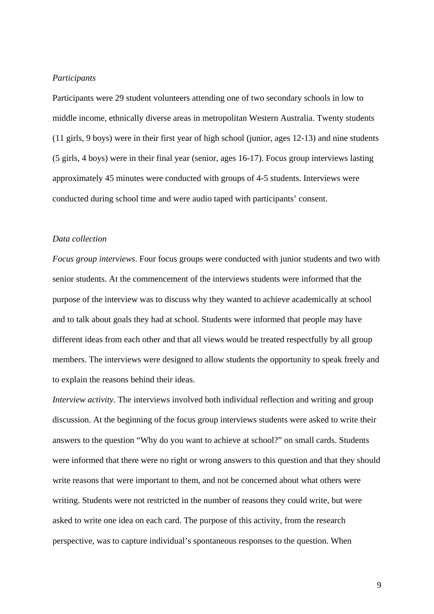# *Participants*

Participants were 29 student volunteers attending one of two secondary schools in low to middle income, ethnically diverse areas in metropolitan Western Australia. Twenty students (11 girls, 9 boys) were in their first year of high school (junior, ages 12-13) and nine students (5 girls, 4 boys) were in their final year (senior, ages 16-17). Focus group interviews lasting approximately 45 minutes were conducted with groups of 4-5 students. Interviews were conducted during school time and were audio taped with participants' consent.

## *Data collection*

*Focus group interviews*. Four focus groups were conducted with junior students and two with senior students. At the commencement of the interviews students were informed that the purpose of the interview was to discuss why they wanted to achieve academically at school and to talk about goals they had at school. Students were informed that people may have different ideas from each other and that all views would be treated respectfully by all group members. The interviews were designed to allow students the opportunity to speak freely and to explain the reasons behind their ideas.

*Interview activity*. The interviews involved both individual reflection and writing and group discussion. At the beginning of the focus group interviews students were asked to write their answers to the question "Why do you want to achieve at school?" on small cards. Students were informed that there were no right or wrong answers to this question and that they should write reasons that were important to them, and not be concerned about what others were writing. Students were not restricted in the number of reasons they could write, but were asked to write one idea on each card. The purpose of this activity, from the research perspective, was to capture individual's spontaneous responses to the question. When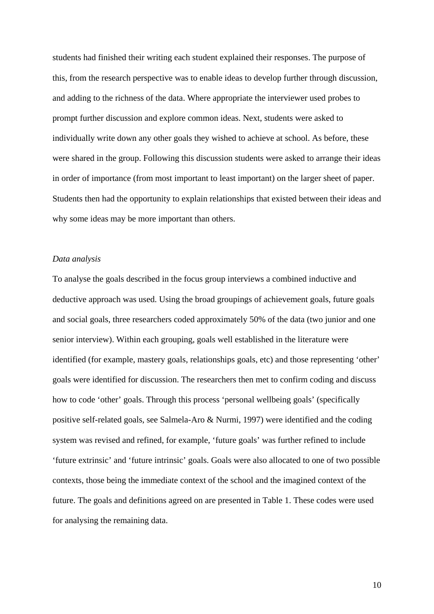students had finished their writing each student explained their responses. The purpose of this, from the research perspective was to enable ideas to develop further through discussion, and adding to the richness of the data. Where appropriate the interviewer used probes to prompt further discussion and explore common ideas. Next, students were asked to individually write down any other goals they wished to achieve at school. As before, these were shared in the group. Following this discussion students were asked to arrange their ideas in order of importance (from most important to least important) on the larger sheet of paper. Students then had the opportunity to explain relationships that existed between their ideas and why some ideas may be more important than others.

## *Data analysis*

To analyse the goals described in the focus group interviews a combined inductive and deductive approach was used. Using the broad groupings of achievement goals, future goals and social goals, three researchers coded approximately 50% of the data (two junior and one senior interview). Within each grouping, goals well established in the literature were identified (for example, mastery goals, relationships goals, etc) and those representing 'other' goals were identified for discussion. The researchers then met to confirm coding and discuss how to code 'other' goals. Through this process 'personal wellbeing goals' (specifically positive self-related goals, see Salmela-Aro & Nurmi, 1997) were identified and the coding system was revised and refined, for example, 'future goals' was further refined to include 'future extrinsic' and 'future intrinsic' goals. Goals were also allocated to one of two possible contexts, those being the immediate context of the school and the imagined context of the future. The goals and definitions agreed on are presented in Table 1. These codes were used for analysing the remaining data.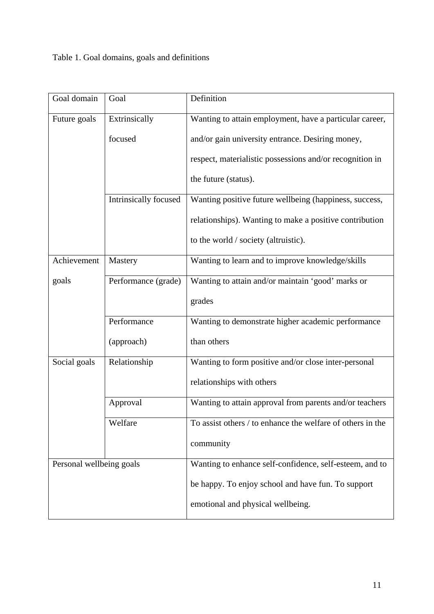# Table 1. Goal domains, goals and definitions

| Goal domain              | Goal                  | Definition                                                 |  |  |  |
|--------------------------|-----------------------|------------------------------------------------------------|--|--|--|
| Future goals             | Extrinsically         | Wanting to attain employment, have a particular career,    |  |  |  |
|                          | focused               | and/or gain university entrance. Desiring money,           |  |  |  |
|                          |                       | respect, materialistic possessions and/or recognition in   |  |  |  |
|                          |                       | the future (status).                                       |  |  |  |
|                          | Intrinsically focused | Wanting positive future wellbeing (happiness, success,     |  |  |  |
|                          |                       | relationships). Wanting to make a positive contribution    |  |  |  |
|                          |                       | to the world / society (altruistic).                       |  |  |  |
| Achievement              | Mastery               | Wanting to learn and to improve knowledge/skills           |  |  |  |
| goals                    | Performance (grade)   | Wanting to attain and/or maintain 'good' marks or          |  |  |  |
|                          |                       | grades                                                     |  |  |  |
|                          | Performance           | Wanting to demonstrate higher academic performance         |  |  |  |
|                          | (approach)            | than others                                                |  |  |  |
| Social goals             | Relationship          | Wanting to form positive and/or close inter-personal       |  |  |  |
|                          |                       | relationships with others                                  |  |  |  |
|                          | Approval              | Wanting to attain approval from parents and/or teachers    |  |  |  |
|                          | Welfare               | To assist others / to enhance the welfare of others in the |  |  |  |
|                          |                       | community                                                  |  |  |  |
| Personal wellbeing goals |                       | Wanting to enhance self-confidence, self-esteem, and to    |  |  |  |
|                          |                       | be happy. To enjoy school and have fun. To support         |  |  |  |
|                          |                       | emotional and physical wellbeing.                          |  |  |  |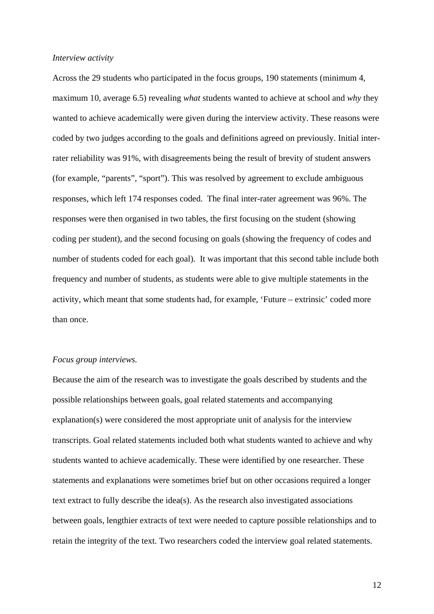#### *Interview activity*

Across the 29 students who participated in the focus groups, 190 statements (minimum 4, maximum 10, average 6.5) revealing *what* students wanted to achieve at school and *why* they wanted to achieve academically were given during the interview activity. These reasons were coded by two judges according to the goals and definitions agreed on previously. Initial interrater reliability was 91%, with disagreements being the result of brevity of student answers (for example, "parents", "sport"). This was resolved by agreement to exclude ambiguous responses, which left 174 responses coded. The final inter-rater agreement was 96%. The responses were then organised in two tables, the first focusing on the student (showing coding per student), and the second focusing on goals (showing the frequency of codes and number of students coded for each goal). It was important that this second table include both frequency and number of students, as students were able to give multiple statements in the activity, which meant that some students had, for example, 'Future – extrinsic' coded more than once.

#### *Focus group interviews.*

Because the aim of the research was to investigate the goals described by students and the possible relationships between goals, goal related statements and accompanying explanation(s) were considered the most appropriate unit of analysis for the interview transcripts. Goal related statements included both what students wanted to achieve and why students wanted to achieve academically. These were identified by one researcher. These statements and explanations were sometimes brief but on other occasions required a longer text extract to fully describe the idea(s). As the research also investigated associations between goals, lengthier extracts of text were needed to capture possible relationships and to retain the integrity of the text. Two researchers coded the interview goal related statements.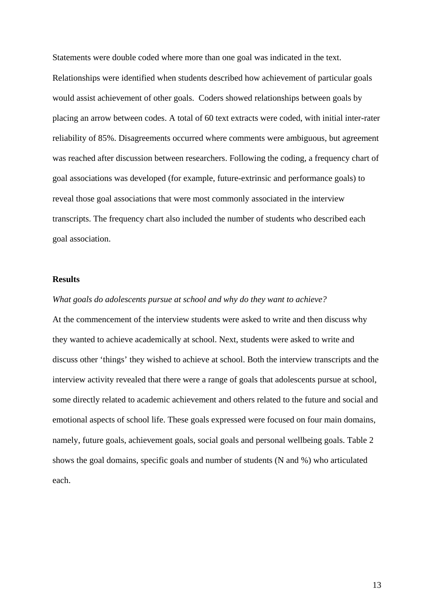Statements were double coded where more than one goal was indicated in the text. Relationships were identified when students described how achievement of particular goals would assist achievement of other goals. Coders showed relationships between goals by placing an arrow between codes. A total of 60 text extracts were coded, with initial inter-rater reliability of 85%. Disagreements occurred where comments were ambiguous, but agreement was reached after discussion between researchers. Following the coding, a frequency chart of goal associations was developed (for example, future-extrinsic and performance goals) to reveal those goal associations that were most commonly associated in the interview transcripts. The frequency chart also included the number of students who described each goal association.

## **Results**

*What goals do adolescents pursue at school and why do they want to achieve?* At the commencement of the interview students were asked to write and then discuss why they wanted to achieve academically at school. Next, students were asked to write and discuss other 'things' they wished to achieve at school. Both the interview transcripts and the interview activity revealed that there were a range of goals that adolescents pursue at school, some directly related to academic achievement and others related to the future and social and emotional aspects of school life. These goals expressed were focused on four main domains, namely, future goals, achievement goals, social goals and personal wellbeing goals. Table 2 shows the goal domains, specific goals and number of students (N and %) who articulated each.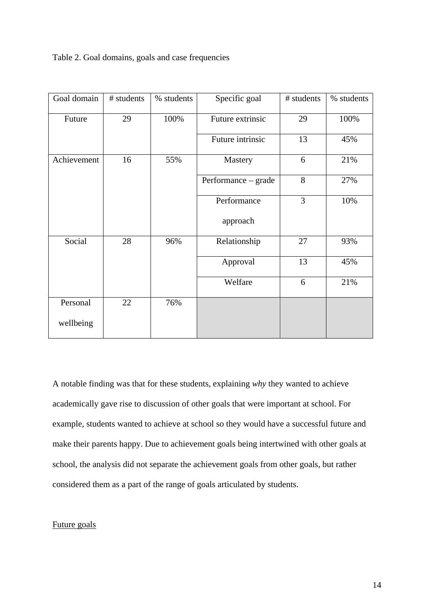Table 2. Goal domains, goals and case frequencies

| Goal domain | # students | % students | Specific goal       | # students | % students |
|-------------|------------|------------|---------------------|------------|------------|
| Future      | 29         | 100%       | Future extrinsic    | 29         | 100%       |
|             |            |            | Future intrinsic    | 13         | 45%        |
| Achievement | 16         | 55%        | Mastery             | 6          | 21%        |
|             |            |            | Performance – grade | 8          | 27%        |
|             |            |            | Performance         | 3          | 10%        |
|             |            |            | approach            |            |            |
| Social      | 28         | 96%        | Relationship        | 27         | 93%        |
|             |            |            | Approval            | 13         | 45%        |
|             |            |            | Welfare             | 6          | 21%        |
| Personal    | 22         | 76%        |                     |            |            |
| wellbeing   |            |            |                     |            |            |

A notable finding was that for these students, explaining *why* they wanted to achieve academically gave rise to discussion of other goals that were important at school. For example, students wanted to achieve at school so they would have a successful future and make their parents happy. Due to achievement goals being intertwined with other goals at school, the analysis did not separate the achievement goals from other goals, but rather considered them as a part of the range of goals articulated by students.

# Future goals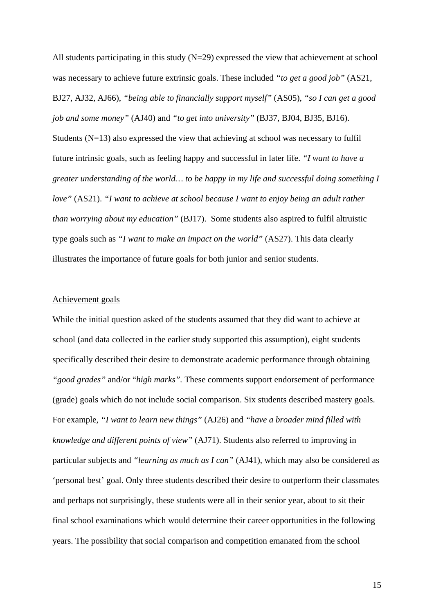All students participating in this study (N=29) expressed the view that achievement at school was necessary to achieve future extrinsic goals. These included *"to get a good job"* (AS21, BJ27, AJ32, AJ66), *"being able to financially support myself"* (AS05), *"so I can get a good job and some money"* (AJ40) and *"to get into university"* (BJ37, BJ04, BJ35, BJ16). Students (N=13) also expressed the view that achieving at school was necessary to fulfil future intrinsic goals, such as feeling happy and successful in later life. *"I want to have a greater understanding of the world… to be happy in my life and successful doing something I love"* (AS21). *"I want to achieve at school because I want to enjoy being an adult rather than worrying about my education"* (BJ17). Some students also aspired to fulfil altruistic type goals such as *"I want to make an impact on the world"* (AS27). This data clearly illustrates the importance of future goals for both junior and senior students.

# Achievement goals

While the initial question asked of the students assumed that they did want to achieve at school (and data collected in the earlier study supported this assumption), eight students specifically described their desire to demonstrate academic performance through obtaining *"good grades"* and/or "*high marks".* These comments support endorsement of performance (grade) goals which do not include social comparison. Six students described mastery goals. For example, *"I want to learn new things"* (AJ26) and *"have a broader mind filled with knowledge and different points of view"* (AJ71). Students also referred to improving in particular subjects and *"learning as much as I can"* (AJ41), which may also be considered as 'personal best' goal. Only three students described their desire to outperform their classmates and perhaps not surprisingly, these students were all in their senior year, about to sit their final school examinations which would determine their career opportunities in the following years. The possibility that social comparison and competition emanated from the school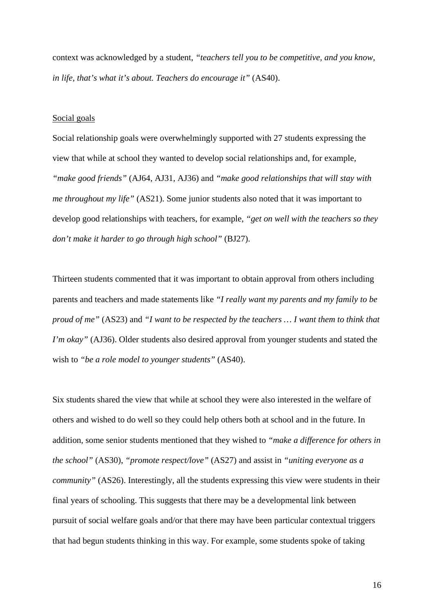context was acknowledged by a student, *"teachers tell you to be competitive, and you know, in life, that's what it's about. Teachers do encourage it"* (AS40).

### Social goals

Social relationship goals were overwhelmingly supported with 27 students expressing the view that while at school they wanted to develop social relationships and, for example, *"make good friends"* (AJ64, AJ31, AJ36) and *"make good relationships that will stay with me throughout my life"* (AS21). Some junior students also noted that it was important to develop good relationships with teachers, for example, *"get on well with the teachers so they don't make it harder to go through high school"* (BJ27).

Thirteen students commented that it was important to obtain approval from others including parents and teachers and made statements like *"I really want my parents and my family to be proud of me"* (AS23) and *"I want to be respected by the teachers … I want them to think that I'm okay*" (AJ36). Older students also desired approval from younger students and stated the wish to *"be a role model to younger students"* (AS40).

Six students shared the view that while at school they were also interested in the welfare of others and wished to do well so they could help others both at school and in the future. In addition, some senior students mentioned that they wished to *"make a difference for others in the school"* (AS30), *"promote respect/love"* (AS27) and assist in *"uniting everyone as a community"* (AS26). Interestingly, all the students expressing this view were students in their final years of schooling. This suggests that there may be a developmental link between pursuit of social welfare goals and/or that there may have been particular contextual triggers that had begun students thinking in this way. For example, some students spoke of taking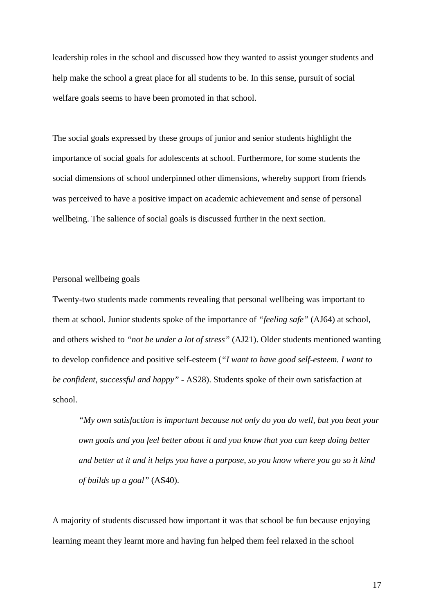leadership roles in the school and discussed how they wanted to assist younger students and help make the school a great place for all students to be. In this sense, pursuit of social welfare goals seems to have been promoted in that school.

The social goals expressed by these groups of junior and senior students highlight the importance of social goals for adolescents at school. Furthermore, for some students the social dimensions of school underpinned other dimensions, whereby support from friends was perceived to have a positive impact on academic achievement and sense of personal wellbeing. The salience of social goals is discussed further in the next section.

# Personal wellbeing goals

Twenty-two students made comments revealing that personal wellbeing was important to them at school. Junior students spoke of the importance of *"feeling safe"* (AJ64) at school, and others wished to *"not be under a lot of stress"* (AJ21). Older students mentioned wanting to develop confidence and positive self-esteem (*"I want to have good self-esteem. I want to be confident, successful and happy" -* AS28). Students spoke of their own satisfaction at school.

*"My own satisfaction is important because not only do you do well, but you beat your own goals and you feel better about it and you know that you can keep doing better and better at it and it helps you have a purpose, so you know where you go so it kind of builds up a goal"* (AS40).

A majority of students discussed how important it was that school be fun because enjoying learning meant they learnt more and having fun helped them feel relaxed in the school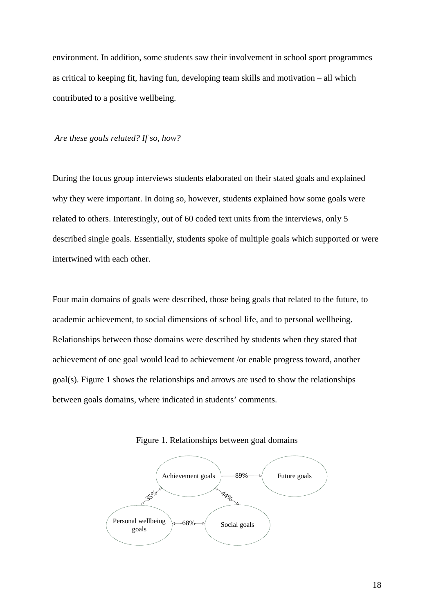environment. In addition, some students saw their involvement in school sport programmes as critical to keeping fit, having fun, developing team skills and motivation – all which contributed to a positive wellbeing.

#### *Are these goals related? If so, how?*

During the focus group interviews students elaborated on their stated goals and explained why they were important. In doing so, however, students explained how some goals were related to others. Interestingly, out of 60 coded text units from the interviews, only 5 described single goals. Essentially, students spoke of multiple goals which supported or were intertwined with each other.

Four main domains of goals were described, those being goals that related to the future, to academic achievement, to social dimensions of school life, and to personal wellbeing. Relationships between those domains were described by students when they stated that achievement of one goal would lead to achievement /or enable progress toward, another goal(s). Figure 1 shows the relationships and arrows are used to show the relationships between goals domains, where indicated in students' comments.



Figure 1. Relationships between goal domains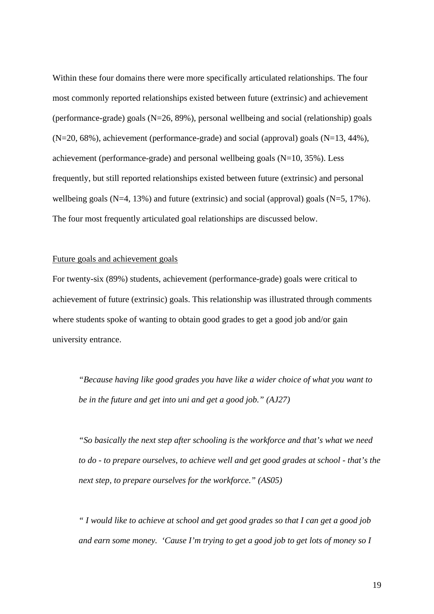Within these four domains there were more specifically articulated relationships. The four most commonly reported relationships existed between future (extrinsic) and achievement (performance-grade) goals (N=26, 89%), personal wellbeing and social (relationship) goals (N=20, 68%), achievement (performance-grade) and social (approval) goals (N=13, 44%), achievement (performance-grade) and personal wellbeing goals (N=10, 35%). Less frequently, but still reported relationships existed between future (extrinsic) and personal wellbeing goals  $(N=4, 13%)$  and future (extrinsic) and social (approval) goals  $(N=5, 17%)$ . The four most frequently articulated goal relationships are discussed below.

# Future goals and achievement goals

For twenty-six (89%) students, achievement (performance-grade) goals were critical to achievement of future (extrinsic) goals. This relationship was illustrated through comments where students spoke of wanting to obtain good grades to get a good job and/or gain university entrance.

*"Because having like good grades you have like a wider choice of what you want to be in the future and get into uni and get a good job." (AJ27)*

*"So basically the next step after schooling is the workforce and that's what we need to do - to prepare ourselves, to achieve well and get good grades at school - that's the next step, to prepare ourselves for the workforce." (AS05)*

*" I would like to achieve at school and get good grades so that I can get a good job and earn some money. 'Cause I'm trying to get a good job to get lots of money so I*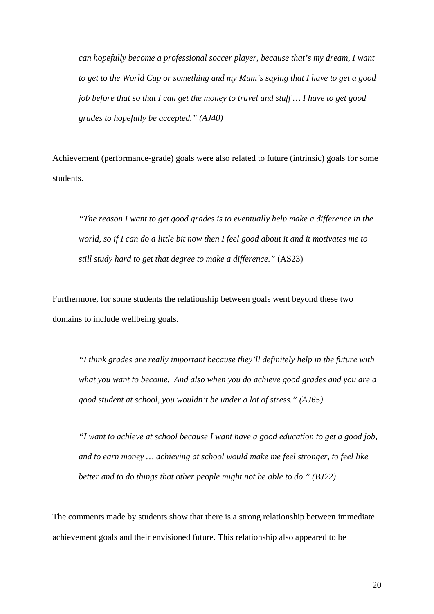*can hopefully become a professional soccer player, because that's my dream, I want to get to the World Cup or something and my Mum's saying that I have to get a good job before that so that I can get the money to travel and stuff … I have to get good grades to hopefully be accepted." (AJ40)*

Achievement (performance-grade) goals were also related to future (intrinsic) goals for some students.

*"The reason I want to get good grades is to eventually help make a difference in the world, so if I can do a little bit now then I feel good about it and it motivates me to still study hard to get that degree to make a difference."* (AS23)

Furthermore, for some students the relationship between goals went beyond these two domains to include wellbeing goals.

*"I think grades are really important because they'll definitely help in the future with what you want to become. And also when you do achieve good grades and you are a good student at school, you wouldn't be under a lot of stress." (AJ65)*

*"I want to achieve at school because I want have a good education to get a good job, and to earn money … achieving at school would make me feel stronger, to feel like better and to do things that other people might not be able to do." (BJ22)*

The comments made by students show that there is a strong relationship between immediate achievement goals and their envisioned future. This relationship also appeared to be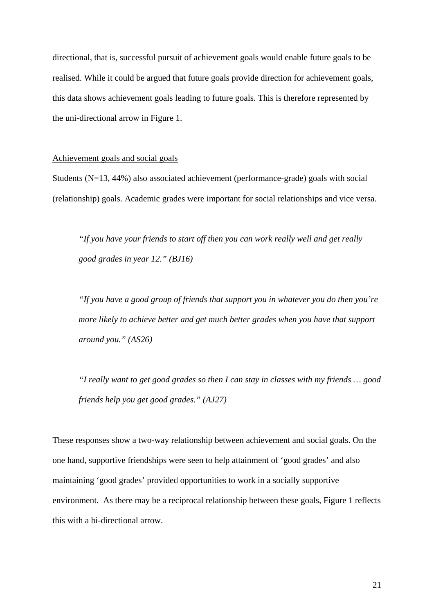directional, that is, successful pursuit of achievement goals would enable future goals to be realised. While it could be argued that future goals provide direction for achievement goals, this data shows achievement goals leading to future goals. This is therefore represented by the uni-directional arrow in Figure 1.

### Achievement goals and social goals

Students (N=13, 44%) also associated achievement (performance-grade) goals with social (relationship) goals. Academic grades were important for social relationships and vice versa.

*"If you have your friends to start off then you can work really well and get really good grades in year 12." (BJ16)*

*"If you have a good group of friends that support you in whatever you do then you're more likely to achieve better and get much better grades when you have that support around you." (AS26)*

*"I really want to get good grades so then I can stay in classes with my friends … good friends help you get good grades." (AJ27)*

These responses show a two-way relationship between achievement and social goals. On the one hand, supportive friendships were seen to help attainment of 'good grades' and also maintaining 'good grades' provided opportunities to work in a socially supportive environment. As there may be a reciprocal relationship between these goals, Figure 1 reflects this with a bi-directional arrow.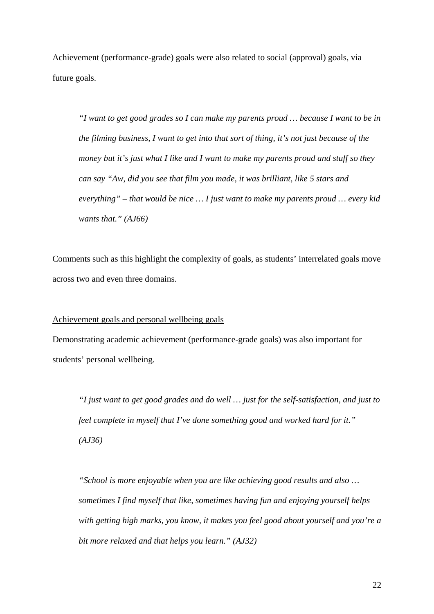Achievement (performance-grade) goals were also related to social (approval) goals, via future goals.

*"I want to get good grades so I can make my parents proud … because I want to be in the filming business, I want to get into that sort of thing, it's not just because of the money but it's just what I like and I want to make my parents proud and stuff so they can say "Aw, did you see that film you made, it was brilliant, like 5 stars and everything" – that would be nice … I just want to make my parents proud … every kid wants that." (AJ66)*

Comments such as this highlight the complexity of goals, as students' interrelated goals move across two and even three domains.

## Achievement goals and personal wellbeing goals

Demonstrating academic achievement (performance-grade goals) was also important for students' personal wellbeing.

*"I just want to get good grades and do well … just for the self-satisfaction, and just to feel complete in myself that I've done something good and worked hard for it." (AJ36)*

*"School is more enjoyable when you are like achieving good results and also … sometimes I find myself that like, sometimes having fun and enjoying yourself helps with getting high marks, you know, it makes you feel good about yourself and you're a bit more relaxed and that helps you learn." (AJ32)*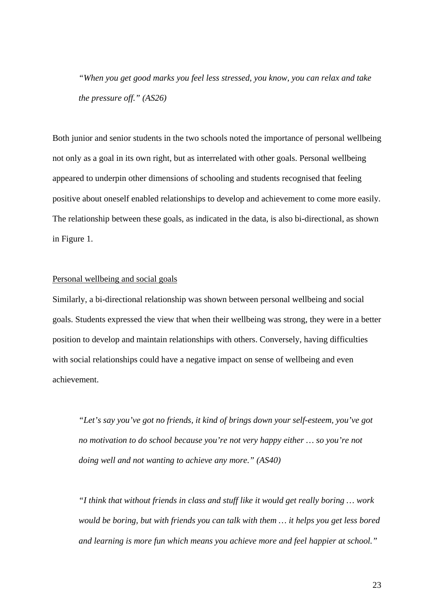*"When you get good marks you feel less stressed, you know, you can relax and take the pressure off." (AS26)*

Both junior and senior students in the two schools noted the importance of personal wellbeing not only as a goal in its own right, but as interrelated with other goals. Personal wellbeing appeared to underpin other dimensions of schooling and students recognised that feeling positive about oneself enabled relationships to develop and achievement to come more easily. The relationship between these goals, as indicated in the data, is also bi-directional, as shown in Figure 1.

# Personal wellbeing and social goals

Similarly, a bi-directional relationship was shown between personal wellbeing and social goals. Students expressed the view that when their wellbeing was strong, they were in a better position to develop and maintain relationships with others. Conversely, having difficulties with social relationships could have a negative impact on sense of wellbeing and even achievement.

*"Let's say you've got no friends, it kind of brings down your self-esteem, you've got no motivation to do school because you're not very happy either … so you're not doing well and not wanting to achieve any more." (AS40)*

*"I think that without friends in class and stuff like it would get really boring … work would be boring, but with friends you can talk with them … it helps you get less bored and learning is more fun which means you achieve more and feel happier at school."*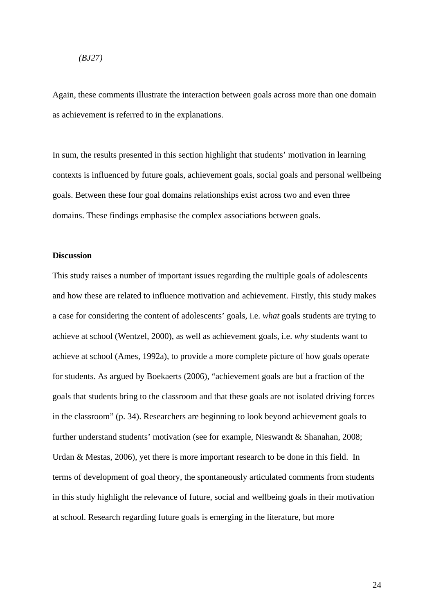#### *(BJ27)*

Again, these comments illustrate the interaction between goals across more than one domain as achievement is referred to in the explanations.

In sum, the results presented in this section highlight that students' motivation in learning contexts is influenced by future goals, achievement goals, social goals and personal wellbeing goals. Between these four goal domains relationships exist across two and even three domains. These findings emphasise the complex associations between goals.

#### **Discussion**

This study raises a number of important issues regarding the multiple goals of adolescents and how these are related to influence motivation and achievement. Firstly, this study makes a case for considering the content of adolescents' goals, i.e. *what* goals students are trying to achieve at school (Wentzel, 2000), as well as achievement goals, i.e. *why* students want to achieve at school (Ames, 1992a), to provide a more complete picture of how goals operate for students. As argued by Boekaerts (2006), "achievement goals are but a fraction of the goals that students bring to the classroom and that these goals are not isolated driving forces in the classroom" (p. 34). Researchers are beginning to look beyond achievement goals to further understand students' motivation (see for example, Nieswandt & Shanahan, 2008; Urdan & Mestas, 2006), yet there is more important research to be done in this field. In terms of development of goal theory, the spontaneously articulated comments from students in this study highlight the relevance of future, social and wellbeing goals in their motivation at school. Research regarding future goals is emerging in the literature, but more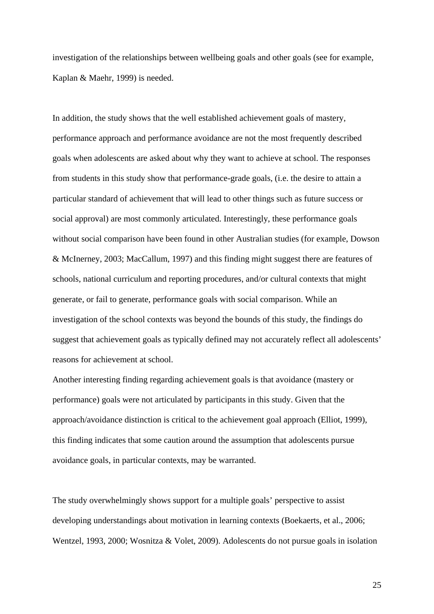investigation of the relationships between wellbeing goals and other goals (see for example, Kaplan & Maehr, 1999) is needed.

In addition, the study shows that the well established achievement goals of mastery, performance approach and performance avoidance are not the most frequently described goals when adolescents are asked about why they want to achieve at school. The responses from students in this study show that performance-grade goals, (i.e. the desire to attain a particular standard of achievement that will lead to other things such as future success or social approval) are most commonly articulated. Interestingly, these performance goals without social comparison have been found in other Australian studies (for example, Dowson & McInerney, 2003; MacCallum, 1997) and this finding might suggest there are features of schools, national curriculum and reporting procedures, and/or cultural contexts that might generate, or fail to generate, performance goals with social comparison. While an investigation of the school contexts was beyond the bounds of this study, the findings do suggest that achievement goals as typically defined may not accurately reflect all adolescents' reasons for achievement at school.

Another interesting finding regarding achievement goals is that avoidance (mastery or performance) goals were not articulated by participants in this study. Given that the approach/avoidance distinction is critical to the achievement goal approach (Elliot, 1999), this finding indicates that some caution around the assumption that adolescents pursue avoidance goals, in particular contexts, may be warranted.

The study overwhelmingly shows support for a multiple goals' perspective to assist developing understandings about motivation in learning contexts (Boekaerts, et al., 2006; Wentzel, 1993, 2000; Wosnitza & Volet, 2009). Adolescents do not pursue goals in isolation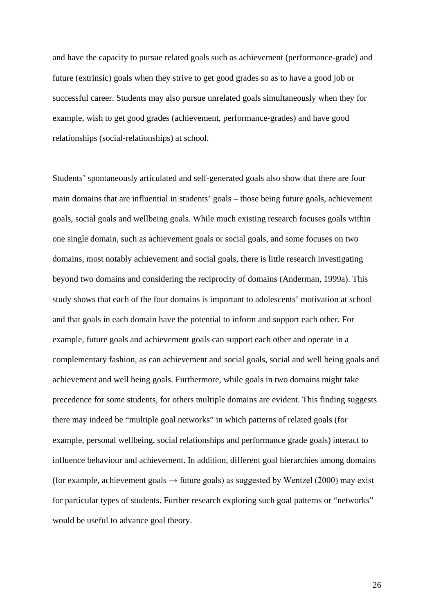and have the capacity to pursue related goals such as achievement (performance-grade) and future (extrinsic) goals when they strive to get good grades so as to have a good job or successful career. Students may also pursue unrelated goals simultaneously when they for example, wish to get good grades (achievement, performance-grades) and have good relationships (social-relationships) at school.

Students' spontaneously articulated and self-generated goals also show that there are four main domains that are influential in students' goals – those being future goals, achievement goals, social goals and wellbeing goals. While much existing research focuses goals within one single domain, such as achievement goals or social goals, and some focuses on two domains, most notably achievement and social goals, there is little research investigating beyond two domains and considering the reciprocity of domains (Anderman, 1999a). This study shows that each of the four domains is important to adolescents' motivation at school and that goals in each domain have the potential to inform and support each other. For example, future goals and achievement goals can support each other and operate in a complementary fashion, as can achievement and social goals, social and well being goals and achievement and well being goals. Furthermore, while goals in two domains might take precedence for some students, for others multiple domains are evident. This finding suggests there may indeed be "multiple goal networks" in which patterns of related goals (for example, personal wellbeing, social relationships and performance grade goals) interact to influence behaviour and achievement. In addition, different goal hierarchies among domains (for example, achievement goals  $\rightarrow$  future goals) as suggested by Wentzel (2000) may exist for particular types of students. Further research exploring such goal patterns or "networks" would be useful to advance goal theory.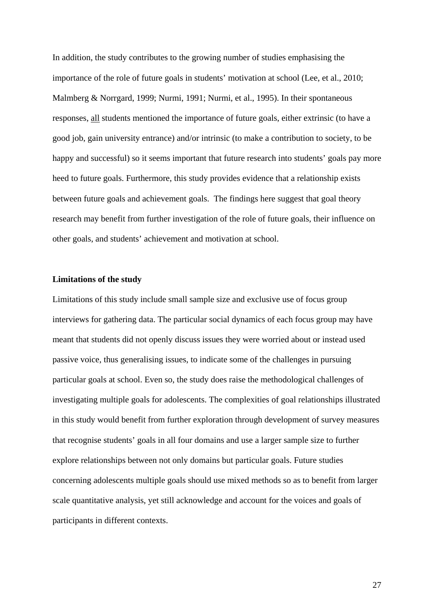In addition, the study contributes to the growing number of studies emphasising the importance of the role of future goals in students' motivation at school (Lee, et al., 2010; Malmberg & Norrgard, 1999; Nurmi, 1991; Nurmi, et al., 1995). In their spontaneous responses, all students mentioned the importance of future goals, either extrinsic (to have a good job, gain university entrance) and/or intrinsic (to make a contribution to society, to be happy and successful) so it seems important that future research into students' goals pay more heed to future goals. Furthermore, this study provides evidence that a relationship exists between future goals and achievement goals. The findings here suggest that goal theory research may benefit from further investigation of the role of future goals, their influence on other goals, and students' achievement and motivation at school.

## **Limitations of the study**

Limitations of this study include small sample size and exclusive use of focus group interviews for gathering data. The particular social dynamics of each focus group may have meant that students did not openly discuss issues they were worried about or instead used passive voice, thus generalising issues, to indicate some of the challenges in pursuing particular goals at school. Even so, the study does raise the methodological challenges of investigating multiple goals for adolescents. The complexities of goal relationships illustrated in this study would benefit from further exploration through development of survey measures that recognise students' goals in all four domains and use a larger sample size to further explore relationships between not only domains but particular goals. Future studies concerning adolescents multiple goals should use mixed methods so as to benefit from larger scale quantitative analysis, yet still acknowledge and account for the voices and goals of participants in different contexts.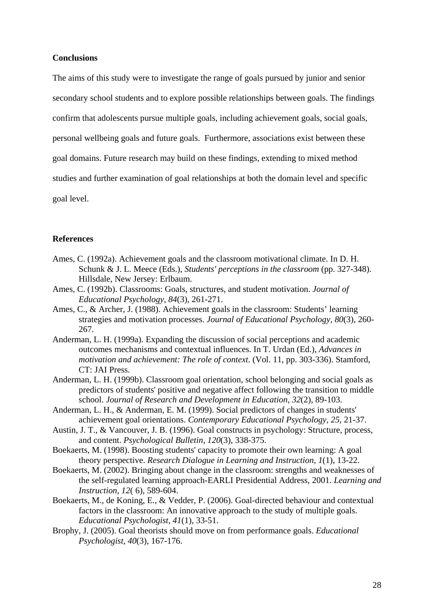## **Conclusions**

The aims of this study were to investigate the range of goals pursued by junior and senior secondary school students and to explore possible relationships between goals. The findings confirm that adolescents pursue multiple goals, including achievement goals, social goals, personal wellbeing goals and future goals. Furthermore, associations exist between these goal domains. Future research may build on these findings, extending to mixed method studies and further examination of goal relationships at both the domain level and specific goal level.

## **References**

- Ames, C. (1992a). Achievement goals and the classroom motivational climate. In D. H. Schunk & J. L. Meece (Eds.), *Students' perceptions in the classroom* (pp. 327-348). Hillsdale, New Jersey: Erlbaum.
- Ames, C. (1992b). Classrooms: Goals, structures, and student motivation. *Journal of Educational Psychology, 84*(3), 261-271.
- Ames, C., & Archer, J. (1988). Achievement goals in the classroom: Students' learning strategies and motivation processes. *Journal of Educational Psychology, 80*(3), 260- 267.
- Anderman, L. H. (1999a). Expanding the discussion of social perceptions and academic outcomes mechanisms and contextual influences. In T. Urdan (Ed.), *Advances in motivation and achievement: The role of context.* (Vol. 11, pp. 303-336). Stamford, CT: JAI Press.
- Anderman, L. H. (1999b). Classroom goal orientation, school belonging and social goals as predictors of students' positive and negative affect following the transition to middle school. *Journal of Research and Development in Education, 32*(2), 89-103.
- Anderman, L. H., & Anderman, E. M. (1999). Social predictors of changes in students' achievement goal orientations. *Contemporary Educational Psychology, 25*, 21-37.
- Austin, J. T., & Vancouver, J. B. (1996). Goal constructs in psychology: Structure, process, and content. *Psychological Bulletin, 120*(3), 338-375.
- Boekaerts, M. (1998). Boosting students' capacity to promote their own learning: A goal theory perspective. *Research Dialogue in Learning and Instruction, 1*(1), 13-22.
- Boekaerts, M. (2002). Bringing about change in the classroom: strengths and weaknesses of the self-regulated learning approach-EARLI Presidential Address, 2001. *Learning and Instruction, 12*( 6), 589-604.
- Boekaerts, M., de Koning, E., & Vedder, P. (2006). Goal-directed behaviour and contextual factors in the classroom: An innovative approach to the study of multiple goals. *Educational Psychologist, 41*(1), 33-51.
- Brophy, J. (2005). Goal theorists should move on from performance goals. *Educational Psychologist, 40*(3), 167-176.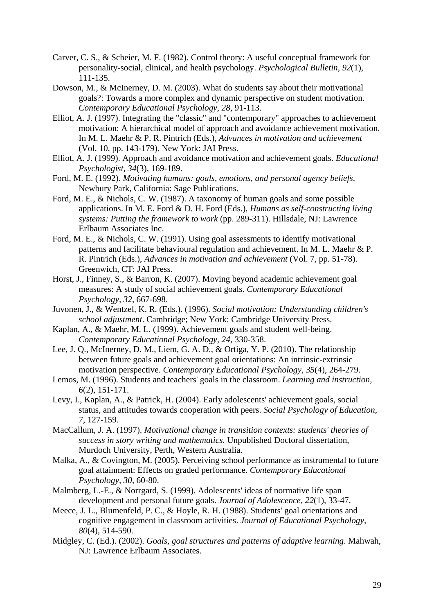- Carver, C. S., & Scheier, M. F. (1982). Control theory: A useful conceptual framework for personality-social, clinical, and health psychology. *Psychological Bulletin, 92*(1), 111-135.
- Dowson, M., & McInerney, D. M. (2003). What do students say about their motivational goals?: Towards a more complex and dynamic perspective on student motivation. *Contemporary Educational Psychology, 28*, 91-113.
- Elliot, A. J. (1997). Integrating the "classic" and "contemporary" approaches to achievement motivation: A hierarchical model of approach and avoidance achievement motivation. In M. L. Maehr & P. R. Pintrich (Eds.), *Advances in motivation and achievement* (Vol. 10, pp. 143-179). New York: JAI Press.
- Elliot, A. J. (1999). Approach and avoidance motivation and achievement goals. *Educational Psychologist, 34*(3), 169-189.
- Ford, M. E. (1992). *Motivating humans: goals, emotions, and personal agency beliefs*. Newbury Park, California: Sage Publications.
- Ford, M. E., & Nichols, C. W. (1987). A taxonomy of human goals and some possible applications. In M. E. Ford & D. H. Ford (Eds.), *Humans as self-constructing living systems: Putting the framework to work* (pp. 289-311). Hillsdale, NJ: Lawrence Erlbaum Associates Inc.
- Ford, M. E., & Nichols, C. W. (1991). Using goal assessments to identify motivational patterns and facilitate behavioural regulation and achievement. In M. L. Maehr & P. R. Pintrich (Eds.), *Advances in motivation and achievement* (Vol. 7, pp. 51-78). Greenwich, CT: JAI Press.
- Horst, J., Finney, S., & Barron, K. (2007). Moving beyond academic achievement goal measures: A study of social achievement goals. *Contemporary Educational Psychology, 32*, 667-698.
- Juvonen, J., & Wentzel, K. R. (Eds.). (1996). *Social motivation: Understanding children's school adjustment*. Cambridge; New York: Cambridge University Press.
- Kaplan, A., & Maehr, M. L. (1999). Achievement goals and student well-being. *Contemporary Educational Psychology, 24*, 330-358.
- Lee, J. Q., McInerney, D. M., Liem, G. A. D., & Ortiga, Y. P. (2010). The relationship between future goals and achievement goal orientations: An intrinsic-extrinsic motivation perspective. *Contemporary Educational Psychology, 35*(4), 264-279.
- Lemos, M. (1996). Students and teachers' goals in the classroom. *Learning and instruction, 6*(2), 151-171.
- Levy, I., Kaplan, A., & Patrick, H. (2004). Early adolescents' achievement goals, social status, and attitudes towards cooperation with peers. *Social Psychology of Education, 7*, 127-159.
- MacCallum, J. A. (1997). *Motivational change in transition contexts: students' theories of success in story writing and mathematics.* Unpublished Doctoral dissertation, Murdoch University, Perth, Western Australia.
- Malka, A., & Covington, M. (2005). Perceiving school performance as instrumental to future goal attainment: Effects on graded performance. *Contemporary Educational Psychology, 30*, 60-80.
- Malmberg, L.-E., & Norrgard, S. (1999). Adolescents' ideas of normative life span development and personal future goals. *Journal of Adolescence, 22*(1), 33-47.
- Meece, J. L., Blumenfeld, P. C., & Hoyle, R. H. (1988). Students' goal orientations and cognitive engagement in classroom activities. *Journal of Educational Psychology, 80*(4), 514-590.
- Midgley, C. (Ed.). (2002). *Goals, goal structures and patterns of adaptive learning*. Mahwah, NJ: Lawrence Erlbaum Associates.